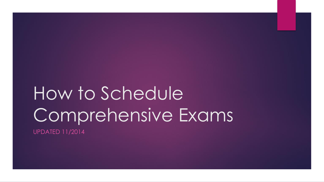# How to Schedule Comprehensive Exams UPDATED 11/2014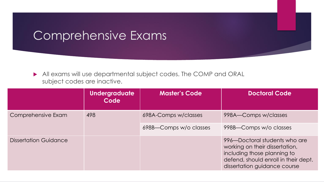#### Comprehensive Exams

 All exams will use departmental subject codes. The COMP and ORAL subject codes are inactive.

|                              | <b>Undergraduate</b><br>Code | <b>Master's Code</b>   | <b>Doctoral Code</b>                                                                                                                                                   |
|------------------------------|------------------------------|------------------------|------------------------------------------------------------------------------------------------------------------------------------------------------------------------|
| Comprehensive Exam           | 498                          | 698A-Comps w/classes   | 998A-Comps w/classes                                                                                                                                                   |
|                              |                              | 698B-Comps w/o classes | 998B-Comps w/o classes                                                                                                                                                 |
| <b>Dissertation Guidance</b> |                              |                        | 996-Doctoral students who are<br>working on their dissertation,<br>including those planning to<br>defend, should enroll in their dept.<br>dissertation guidance course |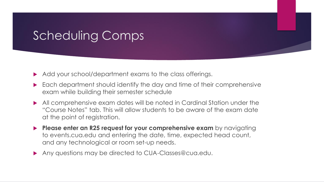# Scheduling Comps

- Add your school/department exams to the class offerings.
- ▶ Each department should identify the day and time of their comprehensive exam while building their semester schedule
- All comprehensive exam dates will be noted in Cardinal Station under the "Course Notes" tab. This will allow students to be aware of the exam date at the point of registration.
- **Please enter an R25 request for your comprehensive exam** by navigating to events.cua.edu and entering the date, time, expected head count, and any technological or room set-up needs.
- Any questions may be directed to CUA-Classes@cua.edu.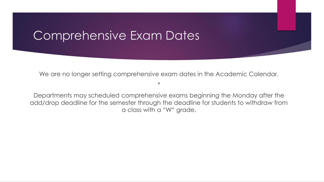#### Comprehensive Exam Dates

We are no longer setting comprehensive exam dates in the Academic Calendar.

\*

Departments may scheduled comprehensive exams beginning the Monday after the add/drop deadline for the semester through the deadline for students to withdraw from a class with a "W" grade.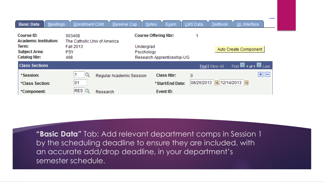| <b>Meetings</b><br><b>Basic Data</b>                                                               |                                                                                 | Enrollment Cntrl Reserve Cap<br>Notes | Exam                                                      | LMS Data<br>Textbook                 | <u>.</u><br><b>GL</b> Interface                 |
|----------------------------------------------------------------------------------------------------|---------------------------------------------------------------------------------|---------------------------------------|-----------------------------------------------------------|--------------------------------------|-------------------------------------------------|
| Course ID:<br><b>Academic Institution:</b><br>Term:<br><b>Subject Area:</b><br><b>Catalog Nbr:</b> | 003408<br>The Catholic Univ of America<br><b>Fall 2013</b><br><b>PSY</b><br>498 | Undergrad<br>Psychology               | <b>Course Offering Nbr:</b><br>Research Apprenticeship-UG |                                      | Auto Create Component                           |
| <b>Class Sections</b>                                                                              |                                                                                 |                                       |                                                           | Find   View All                      | First $\blacksquare$ 1 of 1 $\blacksquare$ Last |
| *Session:<br>*Class Section:<br>*Component:                                                        | 1<br>01<br>$RES$ <sup>Q</sup>                                                   | Regular Academic Session<br>Research  | Class Nbr:<br>*Start/End Date:<br>Event ID:               | 0<br> 08/26/2013   5  12/14/2013   5 | $\mathbf{H}$ $\mathbf{H}$                       |

**"Basic Data"** Tab: Add relevant department comps in Session 1 by the scheduling deadline to ensure they are included, with an accurate add/drop deadline, in your department's semester schedule.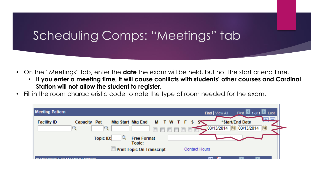# Scheduling Comps: "Meetings" tab

- On the "Meetings" tab, enter the **date** the exam will be held, but not the start or end time.
	- **If you enter a meeting time, it will cause conflicts with students' other courses and Cardinal Station will not allow the student to register.**
- Fill in the room characteristic code to note the type of room needed for the exam.

| <b>Meeting Pattern</b>          | First 1 of 1 Last<br>Find   View All                                                                            |  |
|---------------------------------|-----------------------------------------------------------------------------------------------------------------|--|
| <b>Facility ID</b>              | *Start/End Date<br><b>MTWTFSS</b><br>Mtg Start Mtg End<br>Capacity Pat<br>FÜ<br>FJ<br>03/13/2014<br>103/13/2014 |  |
|                                 | <b>Free Format</b><br><b>Topic ID:</b><br>Topic:<br><b>Print Topic On Transcript</b><br><b>Contact Hours</b>    |  |
| Inatruatora For Mooting Dottora | <b>STATE</b><br>—                                                                                               |  |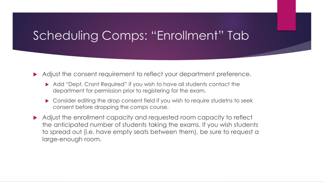## Scheduling Comps: "Enrollment" Tab

Adjust the consent requirement to reflect your department preference.

- ▶ Add "Dept. Cnsnt Required" if you wish to have all students contact the department for permission prior to registering for the exam.
- ▶ Consider editing the drop consent field if you wish to require studetns to seek consent before dropping the comps course.
- Adjust the enrollment capacity and requested room capacity to reflect the anticipated number of students taking the exams. If you wish students to spread out (i.e. have empty seats between them), be sure to request a large-enough room.